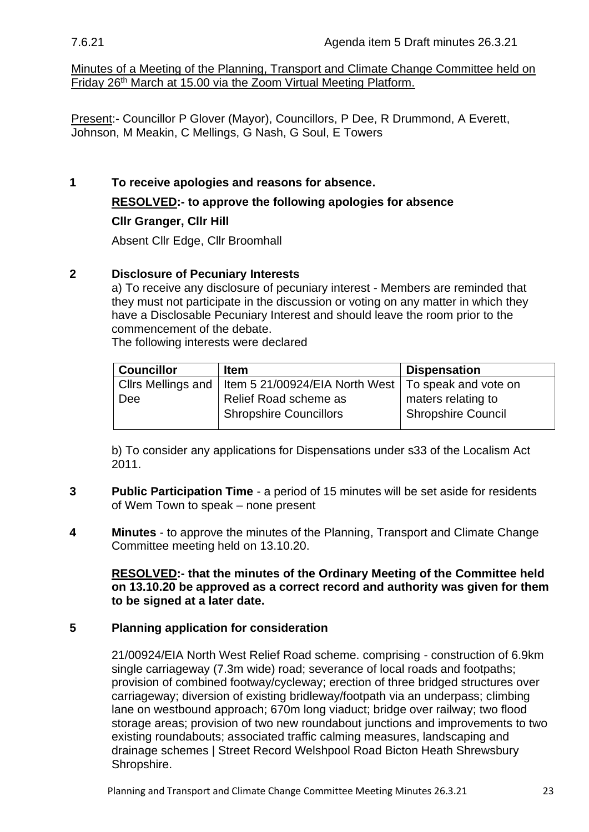Minutes of a Meeting of the Planning, Transport and Climate Change Committee held on Friday 26th March at 15.00 via the Zoom Virtual Meeting Platform.

Present:- Councillor P Glover (Mayor), Councillors, P Dee, R Drummond, A Everett, Johnson, M Meakin, C Mellings, G Nash, G Soul, E Towers

**1 To receive apologies and reasons for absence. RESOLVED:- to approve the following apologies for absence**

## **Cllr Granger, Cllr Hill**

Absent Cllr Edge, Cllr Broomhall

## **2 Disclosure of Pecuniary Interests**

a) To receive any disclosure of pecuniary interest - Members are reminded that they must not participate in the discussion or voting on any matter in which they have a Disclosable Pecuniary Interest and should leave the room prior to the commencement of the debate.

The following interests were declared

| <b>Councillor</b> | <b>Item</b>                                                                | <b>Dispensation</b> |
|-------------------|----------------------------------------------------------------------------|---------------------|
|                   | Clirs Mellings and   Item 5 21/00924/EIA North West   To speak and vote on |                     |
| <b>Dee</b>        | Relief Road scheme as                                                      | maters relating to  |
|                   | <b>Shropshire Councillors</b>                                              | Shropshire Council  |
|                   |                                                                            |                     |

b) To consider any applications for Dispensations under s33 of the Localism Act 2011.

- **3 Public Participation Time** a period of 15 minutes will be set aside for residents of Wem Town to speak – none present
- **4 Minutes** to approve the minutes of the Planning, Transport and Climate Change Committee meeting held on 13.10.20.

**RESOLVED:- that the minutes of the Ordinary Meeting of the Committee held on 13.10.20 be approved as a correct record and authority was given for them to be signed at a later date.**

## **5 Planning application for consideration**

[21/00924/EIA North West Relief Road scheme. comprising -](https://pa.shropshire.gov.uk/online-applications/applicationDetails.do?activeTab=summary&keyVal=QOXI5QTD06Z00) construction of 6.9km [single carriageway \(7.3m wide\) road; severance of local roads and footpaths;](https://pa.shropshire.gov.uk/online-applications/applicationDetails.do?activeTab=summary&keyVal=QOXI5QTD06Z00)  [provision of combined footway/cycleway; erection of three bridged structures over](https://pa.shropshire.gov.uk/online-applications/applicationDetails.do?activeTab=summary&keyVal=QOXI5QTD06Z00)  [carriageway; diversion of existing bridleway/footpath via an underpass; climbing](https://pa.shropshire.gov.uk/online-applications/applicationDetails.do?activeTab=summary&keyVal=QOXI5QTD06Z00)  [lane on westbound approach; 670m long viaduct; bridge over railway; two flood](https://pa.shropshire.gov.uk/online-applications/applicationDetails.do?activeTab=summary&keyVal=QOXI5QTD06Z00)  [storage areas; provision of two new roundabout junctions and improvements to two](https://pa.shropshire.gov.uk/online-applications/applicationDetails.do?activeTab=summary&keyVal=QOXI5QTD06Z00)  [existing roundabouts; associated traffic calming measures, landscaping and](https://pa.shropshire.gov.uk/online-applications/applicationDetails.do?activeTab=summary&keyVal=QOXI5QTD06Z00)  [drainage schemes | Street Record Welshpool Road Bicton Heath Shrewsbury](https://pa.shropshire.gov.uk/online-applications/applicationDetails.do?activeTab=summary&keyVal=QOXI5QTD06Z00)  [Shropshire.](https://pa.shropshire.gov.uk/online-applications/applicationDetails.do?activeTab=summary&keyVal=QOXI5QTD06Z00)